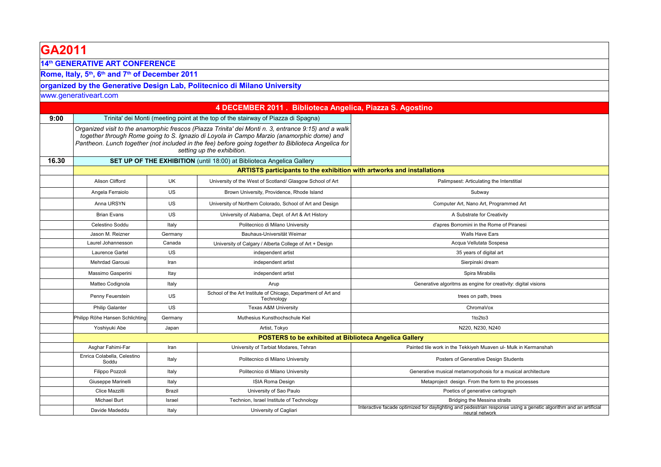| GA2011                                                                              |                                                                       |           |                                                                                                                                                                                                                                                                                                                                        |                                                                                                                                    |  |
|-------------------------------------------------------------------------------------|-----------------------------------------------------------------------|-----------|----------------------------------------------------------------------------------------------------------------------------------------------------------------------------------------------------------------------------------------------------------------------------------------------------------------------------------------|------------------------------------------------------------------------------------------------------------------------------------|--|
| <b>14th GENERATIVE ART CONFERENCE</b>                                               |                                                                       |           |                                                                                                                                                                                                                                                                                                                                        |                                                                                                                                    |  |
| Rome, Italy, 5 <sup>th</sup> , 6 <sup>th</sup> and 7 <sup>th</sup> of December 2011 |                                                                       |           |                                                                                                                                                                                                                                                                                                                                        |                                                                                                                                    |  |
|                                                                                     |                                                                       |           | organized by the Generative Design Lab, Politecnico di Milano University                                                                                                                                                                                                                                                               |                                                                                                                                    |  |
|                                                                                     | www.generativeart.com                                                 |           |                                                                                                                                                                                                                                                                                                                                        |                                                                                                                                    |  |
|                                                                                     |                                                                       |           | 4 DECEMBER 2011 . Biblioteca Angelica, Piazza S. Agostino                                                                                                                                                                                                                                                                              |                                                                                                                                    |  |
| 9:00                                                                                |                                                                       |           | Trinita' dei Monti (meeting point at the top of the stairway of Piazza di Spagna)                                                                                                                                                                                                                                                      |                                                                                                                                    |  |
|                                                                                     |                                                                       |           | Organized visit to the anamorphic frescos (Piazza Trinita' dei Monti n. 3, entrance 9:15) and a walk<br>together through Rome going to S. Ignazio di Loyola in Campo Marzio (anamorphic dome) and<br>Pantheon. Lunch together (not included in the fee) before going together to Biblioteca Angelica for<br>setting up the exhibition. |                                                                                                                                    |  |
| 16.30                                                                               | SET UP OF THE EXHIBITION (until 18:00) at Biblioteca Angelica Gallery |           |                                                                                                                                                                                                                                                                                                                                        |                                                                                                                                    |  |
|                                                                                     |                                                                       |           | ARTISTS participants to the exhibition with artworks and installations                                                                                                                                                                                                                                                                 |                                                                                                                                    |  |
|                                                                                     | Alison Clifford                                                       | <b>UK</b> | University of the West of Scotland/ Glasgow School of Art                                                                                                                                                                                                                                                                              | Palimpsest: Articulating the Interstitial                                                                                          |  |
|                                                                                     | Angela Ferraiolo                                                      | US        | Brown University, Providence, Rhode Island                                                                                                                                                                                                                                                                                             | Subway                                                                                                                             |  |
|                                                                                     | Anna URSYN                                                            | US        | University of Northern Colorado, School of Art and Design                                                                                                                                                                                                                                                                              | Computer Art, Nano Art, Programmed Art                                                                                             |  |
|                                                                                     | <b>Brian Evans</b>                                                    | US        | University of Alabama, Dept. of Art & Art History                                                                                                                                                                                                                                                                                      | A Substrate for Creativity                                                                                                         |  |
|                                                                                     | Celestino Soddu                                                       | Italy     | Politecnico di Milano University                                                                                                                                                                                                                                                                                                       | d'apres Borromini in the Rome of Piranesi                                                                                          |  |
|                                                                                     | Jason M. Reizner                                                      | Germany   | Bauhaus-Universität Weimar                                                                                                                                                                                                                                                                                                             | Walls Have Ears                                                                                                                    |  |
|                                                                                     | Laurel Johannesson                                                    | Canada    | University of Calgary / Alberta College of Art + Design                                                                                                                                                                                                                                                                                | Acqua Vellutata Sospesa                                                                                                            |  |
|                                                                                     | Laurence Gartel                                                       | US        | independent artist                                                                                                                                                                                                                                                                                                                     | 35 years of digital art                                                                                                            |  |
|                                                                                     | <b>Mehrdad Garousi</b>                                                | Iran      | independent artist                                                                                                                                                                                                                                                                                                                     | Sierpinski dream                                                                                                                   |  |
|                                                                                     | Massimo Gasperini                                                     | Itay      | independent artist                                                                                                                                                                                                                                                                                                                     | Spira Mirabilis                                                                                                                    |  |
|                                                                                     | Matteo Codignola                                                      | Italy     | Arup                                                                                                                                                                                                                                                                                                                                   | Generative algoritms as engine for creativity: digital visions                                                                     |  |
|                                                                                     | Penny Feuerstein                                                      | US        | School of the Art Institute of Chicago, Department of Art and<br>Technology                                                                                                                                                                                                                                                            | trees on path, trees                                                                                                               |  |
|                                                                                     | <b>Philip Galanter</b>                                                | US        | <b>Texas A&amp;M University</b>                                                                                                                                                                                                                                                                                                        | ChromaVox                                                                                                                          |  |
|                                                                                     | Philipp Röhe Hansen Schlichting                                       | Germany   | Muthesius Kunsthochschule Kiel                                                                                                                                                                                                                                                                                                         | 1to2to3                                                                                                                            |  |
|                                                                                     | Yoshiyuki Abe                                                         | Japan     | Artist, Tokyo                                                                                                                                                                                                                                                                                                                          | N220, N230, N240                                                                                                                   |  |
|                                                                                     | <b>POSTERS to be exhibited at Biblioteca Angelica Gallery</b>         |           |                                                                                                                                                                                                                                                                                                                                        |                                                                                                                                    |  |
|                                                                                     | Asghar Fahimi-Far                                                     | Iran      | University of Tarbiat Modares, Tehran                                                                                                                                                                                                                                                                                                  | Painted tile work in the Tekkiyeh Muaven ul- Mulk in Kermanshah                                                                    |  |
|                                                                                     | Enrica Colabella, Celestino<br>Soddu                                  | Italy     | Politecnico di Milano University                                                                                                                                                                                                                                                                                                       | Posters of Generative Design Students                                                                                              |  |
|                                                                                     | Filippo Pozzoli                                                       | Italy     | Politecnico di Milano University                                                                                                                                                                                                                                                                                                       | Generative musical metamorpohosis for a musical architecture                                                                       |  |
|                                                                                     | Giuseppe Marinelli                                                    | Italy     | ISIA Roma Design                                                                                                                                                                                                                                                                                                                       | Metaproject design. From the form to the processes                                                                                 |  |
|                                                                                     | Clice Mazzilli                                                        | Brazil    | University of Sao Paulo                                                                                                                                                                                                                                                                                                                | Poetics of generative cartograph                                                                                                   |  |
|                                                                                     | Michael Burt                                                          | Israel    | Technion, Israel Institute of Technology                                                                                                                                                                                                                                                                                               | Bridging the Messina straits                                                                                                       |  |
|                                                                                     | Davide Madeddu                                                        | Italy     | University of Cagliari                                                                                                                                                                                                                                                                                                                 | Interactive facade optimized for daylighting and pedestrian response using a genetic algorithm and an artificial<br>neural network |  |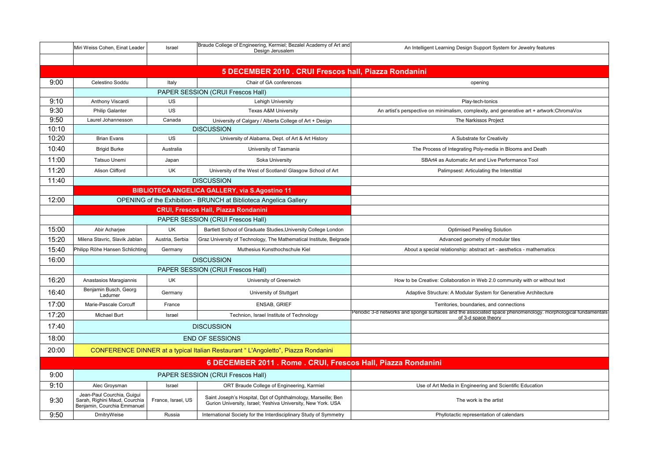|                                                               | Miri Weiss Cohen, Einat Leader                                                             | Israel             | Braude College of Engineering, Kermiel; Bezalel Academy of Art and<br>Design Jerusalem                                        | An Intelligent Learning Design Support System for Jewelry features                                                                  |
|---------------------------------------------------------------|--------------------------------------------------------------------------------------------|--------------------|-------------------------------------------------------------------------------------------------------------------------------|-------------------------------------------------------------------------------------------------------------------------------------|
|                                                               |                                                                                            |                    |                                                                                                                               |                                                                                                                                     |
|                                                               |                                                                                            |                    | 5 DECEMBER 2010 . CRUI Frescos hall, Piazza Rondanini                                                                         |                                                                                                                                     |
| 9:00                                                          | Celestino Soddu                                                                            | Italy              | Chair of GA conferences                                                                                                       | opening                                                                                                                             |
|                                                               |                                                                                            |                    | PAPER SESSION (CRUI Frescos Hall)                                                                                             |                                                                                                                                     |
| 9:10                                                          | Anthony Viscardi                                                                           | <b>US</b>          | Lehigh University                                                                                                             | Play-tech-tonics                                                                                                                    |
| 9:30                                                          | <b>Philip Galanter</b>                                                                     | US                 | <b>Texas A&amp;M University</b>                                                                                               | An artist's perspective on minimalism, complexity, and generative art + artwork:ChromaVox                                           |
| 9:50                                                          | Laurel Johannesson                                                                         | Canada             | University of Calgary / Alberta College of Art + Design                                                                       | The Narkissos Project                                                                                                               |
| 10:10                                                         |                                                                                            |                    | <b>DISCUSSION</b>                                                                                                             |                                                                                                                                     |
| 10:20                                                         | <b>Brian Evans</b>                                                                         | US                 | University of Alabama, Dept. of Art & Art History                                                                             | A Substrate for Creativity                                                                                                          |
| 10:40                                                         | <b>Brigid Burke</b>                                                                        | Australia          | University of Tasmania                                                                                                        | The Process of Integrating Poly-media in Blooms and Death                                                                           |
| 11:00                                                         | Tatsuo Unemi                                                                               | Japan              | Soka University                                                                                                               | SBArt4 as Automatic Art and Live Performance Tool                                                                                   |
| 11:20                                                         | Alison Clifford                                                                            | UK                 | University of the West of Scotland/ Glasgow School of Art                                                                     | Palimpsest: Articulating the Interstitial                                                                                           |
| 11:40                                                         |                                                                                            |                    | <b>DISCUSSION</b>                                                                                                             |                                                                                                                                     |
|                                                               |                                                                                            |                    | <b>BIBLIOTECA ANGELICA GALLERY, via S.Agostino 11</b>                                                                         |                                                                                                                                     |
| 12:00                                                         |                                                                                            |                    | <b>OPENING of the Exhibition - BRUNCH at Biblioteca Angelica Gallery</b>                                                      |                                                                                                                                     |
|                                                               |                                                                                            |                    | <b>CRUI, Frescos Hall, Piazza Rondanini</b>                                                                                   |                                                                                                                                     |
|                                                               |                                                                                            |                    | PAPER SESSION (CRUI Frescos Hall)                                                                                             |                                                                                                                                     |
| 15:00                                                         | Abir Acharjee                                                                              | UK                 | Bartlett School of Graduate Studies, University College London                                                                | <b>Optimised Paneling Solution</b>                                                                                                  |
| 15:20                                                         | Milena Stavric, Slavik Jablan                                                              | Austria, Serbia    | Graz University of Technology, The Mathematical Institute, Belgrade                                                           | Advanced geometry of modular tiles                                                                                                  |
| 15:40                                                         | Philipp Röhe Hansen Schlichting                                                            | Germany            | Muthesius Kunsthochschule Kiel                                                                                                | About a special relationship: abstract art - aesthetics - mathematics                                                               |
| 16:00                                                         | <b>DISCUSSION</b>                                                                          |                    |                                                                                                                               |                                                                                                                                     |
|                                                               | PAPER SESSION (CRUI Frescos Hall)                                                          |                    |                                                                                                                               |                                                                                                                                     |
| 16:20                                                         | Anastasios Maragiannis                                                                     | UK                 | University of Greenwich                                                                                                       | How to be Creative: Collaboration in Web 2.0 community with or without text                                                         |
| 16:40                                                         | Benjamin Busch, Georg<br>Ladurner                                                          | Germany            | University of Stuttgart                                                                                                       | Adaptive Structure: A Modular System for Generative Architecture                                                                    |
| 17:00                                                         | Marie-Pascale Corcuff                                                                      | France             | ENSAB, GRIEF                                                                                                                  | Territories, boundaries, and connections                                                                                            |
| 17:20                                                         | Michael Burt                                                                               | Israel             | Technion, Israel Institute of Technology                                                                                      | Periodic 3-d networks and sponge surfaces and the associated space phenomenology. morphological fundamentals<br>of 3-d space theory |
| 17:40                                                         | <b>DISCUSSION</b>                                                                          |                    |                                                                                                                               |                                                                                                                                     |
| 18:00                                                         |                                                                                            |                    | <b>END OF SESSIONS</b>                                                                                                        |                                                                                                                                     |
| 20:00                                                         |                                                                                            |                    | CONFERENCE DINNER at a typical Italian Restaurant "L'Angoletto", Piazza Rondanini                                             |                                                                                                                                     |
| 6 DECEMBER 2011 . Rome . CRUI, Frescos Hall, Piazza Rondanini |                                                                                            |                    |                                                                                                                               |                                                                                                                                     |
| 9:00                                                          | PAPER SESSION (CRUI Frescos Hall)                                                          |                    |                                                                                                                               |                                                                                                                                     |
| 9:10                                                          | Alec Groysman                                                                              | Israel             | ORT Braude College of Engineering, Karmiel                                                                                    | Use of Art Media in Engineering and Scientific Education                                                                            |
| 9:30                                                          | Jean-Paul Courchia, Guiqui<br>Sarah, Righini Maud, Courchia<br>Benjamin, Courchia Emmanuel | France, Israel, US | Saint Joseph's Hospital, Dpt of Ophthalmology, Marseille; Ben<br>Gurion University, Israel; Yeshiva University, New York. USA | The work is the artist                                                                                                              |
| 9:50                                                          | DmitryWeise                                                                                | Russia             | International Society for the Interdisciplinary Study of Symmetry                                                             | Phyllotactic representation of calendars                                                                                            |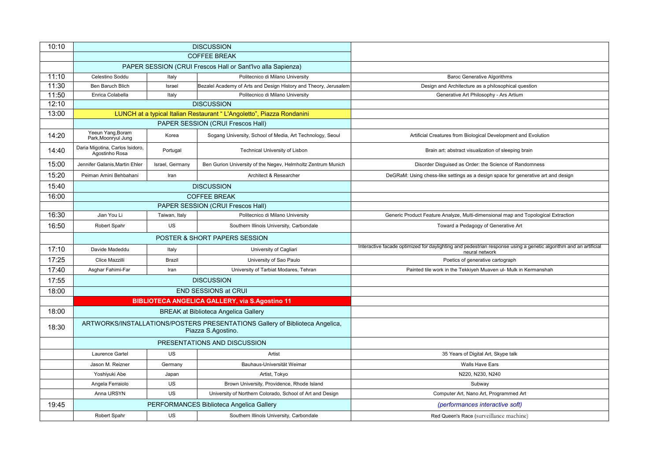| 10:10 | <b>DISCUSSION</b>                                                                                  |                 |                                                                       |                                                                                                                                    |
|-------|----------------------------------------------------------------------------------------------------|-----------------|-----------------------------------------------------------------------|------------------------------------------------------------------------------------------------------------------------------------|
|       | <b>COFFEE BREAK</b>                                                                                |                 |                                                                       |                                                                                                                                    |
|       |                                                                                                    |                 | PAPER SESSION (CRUI Frescos Hall or Sant'Ivo alla Sapienza)           |                                                                                                                                    |
| 11:10 | Celestino Soddu                                                                                    | Italy           | Politecnico di Milano University                                      | <b>Baroc Generative Algorithms</b>                                                                                                 |
| 11:30 | <b>Ben Baruch Blich</b>                                                                            | Israel          | Bezalel Academy of Arts and Design History and Theory, Jerusalem      | Design and Architecture as a philosophical question                                                                                |
| 11:50 | Enrica Colabella                                                                                   | Italy           | Politecnico di Milano University                                      | Generative Art Philosophy - Ars Artium                                                                                             |
| 12:10 |                                                                                                    |                 | <b>DISCUSSION</b>                                                     |                                                                                                                                    |
| 13:00 |                                                                                                    |                 | LUNCH at a typical Italian Restaurant "L'Angoletto", Piazza Rondanini |                                                                                                                                    |
|       |                                                                                                    |                 | PAPER SESSION (CRUI Frescos Hall)                                     |                                                                                                                                    |
| 14:20 | Yeeun Yang, Boram<br>Park, Moonryul Jung                                                           | Korea           | Sogang University, School of Media, Art Technology, Seoul             | Artificial Creatures from Biological Development and Evolution                                                                     |
| 14:40 | Daria Migotina, Carlos Isidoro,<br>Agostinho Rosa                                                  | Portugal        | Technical University of Lisbon                                        | Brain art: abstract visualization of sleeping brain                                                                                |
| 15:00 | Jennifer Galanis, Martin Ehler                                                                     | Israel, Germany | Ben Gurion University of the Negev, Helmholtz Zentrum Munich          | Disorder Disguised as Order: the Science of Randomness                                                                             |
| 15:20 | Peiman Amini Behbahani                                                                             | Iran            | Architect & Researcher                                                | DeGRaM: Using chess-like settings as a design space for generative art and design                                                  |
| 15:40 | <b>DISCUSSION</b>                                                                                  |                 |                                                                       |                                                                                                                                    |
| 16:00 |                                                                                                    |                 | <b>COFFEE BREAK</b>                                                   |                                                                                                                                    |
|       |                                                                                                    |                 | PAPER SESSION (CRUI Frescos Hall)                                     |                                                                                                                                    |
| 16:30 | Jian You Li                                                                                        | Taiwan, Italy   | Politecnico di Milano University                                      | Generic Product Feature Analyze, Multi-dimensional map and Topological Extraction                                                  |
| 16:50 | Robert Spahr                                                                                       | US              | Southern Illinois University, Carbondale                              | Toward a Pedagogy of Generative Art                                                                                                |
|       |                                                                                                    |                 | POSTER & SHORT PAPERS SESSION                                         |                                                                                                                                    |
| 17:10 | Davide Madeddu                                                                                     | Italy           | University of Cagliari                                                | Interactive facade optimized for daylighting and pedestrian response using a genetic algorithm and an artificial<br>neural network |
| 17:25 | Clice Mazzilli                                                                                     | Brazil          | University of Sao Paulo                                               | Poetics of generative cartograph                                                                                                   |
| 17:40 | Asghar Fahimi-Far                                                                                  | Iran            | University of Tarbiat Modares, Tehran                                 | Painted tile work in the Tekkiyeh Muaven ul- Mulk in Kermanshah                                                                    |
| 17:55 | <b>DISCUSSION</b>                                                                                  |                 |                                                                       |                                                                                                                                    |
| 18:00 | <b>END SESSIONS at CRUI</b>                                                                        |                 |                                                                       |                                                                                                                                    |
|       |                                                                                                    |                 | <b>BIBLIOTECA ANGELICA GALLERY, via S.Agostino 11</b>                 |                                                                                                                                    |
| 18:00 | <b>BREAK at Biblioteca Angelica Gallery</b>                                                        |                 |                                                                       |                                                                                                                                    |
| 18:30 | ARTWORKS/INSTALLATIONS/POSTERS PRESENTATIONS Gallery of Biblioteca Angelica,<br>Piazza S.Agostino. |                 |                                                                       |                                                                                                                                    |
|       |                                                                                                    |                 | PRESENTATIONS AND DISCUSSION                                          |                                                                                                                                    |
|       | Laurence Gartel                                                                                    | <b>US</b>       | Artist                                                                | 35 Years of Digital Art, Skype talk                                                                                                |
|       | Jason M. Reizner                                                                                   | Germany         | Bauhaus-Universität Weimar                                            | Walls Have Ears                                                                                                                    |
|       | Yoshiyuki Abe                                                                                      | Japan           | Artist, Tokyo                                                         | N220, N230, N240                                                                                                                   |
|       | Angela Ferraiolo                                                                                   | <b>US</b>       | Brown University, Providence, Rhode Island                            | Subway                                                                                                                             |
|       | Anna URSYN                                                                                         | <b>US</b>       | University of Northern Colorado, School of Art and Design             | Computer Art, Nano Art, Programmed Art                                                                                             |
| 19:45 | PERFORMANCES Biblioteca Angelica Gallery                                                           |                 |                                                                       | <i>(performances interactive soft)</i>                                                                                             |
|       | Robert Spahr                                                                                       | US              | Southern Illinois University, Carbondale                              | Red Queen's Race (surveillance machine)                                                                                            |